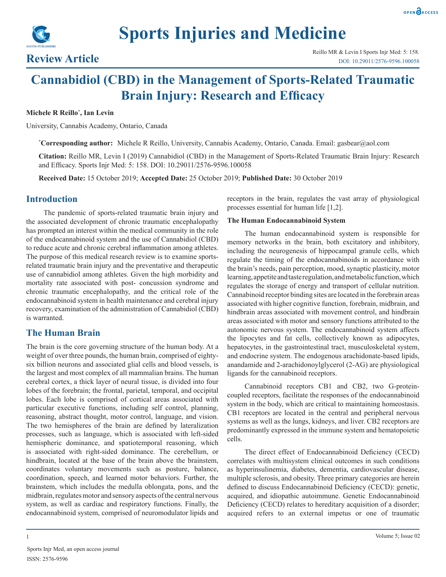**Sports Injuries and Medicine**



# **Cannabidiol (CBD) in the Management of Sports-Related Traumatic Brain Injury: Research and Efficacy**

#### **Michele R Reillo\* , Ian Levin**

University, Cannabis Academy, Ontario, Canada

**\* Corresponding author:** Michele R Reillo, University, Cannabis Academy, Ontario, Canada. Email: gasbear@aol.com

**Citation:** Reillo MR, Levin I (2019) Cannabidiol (CBD) in the Management of Sports-Related Traumatic Brain Injury: Research and Efficacy. Sports Injr Med: 5: 158. DOI: 10.29011/2576-9596.100058

**Received Date:** 15 October 2019; **Accepted Date:** 25 October 2019; **Published Date:** 30 October 2019

# **Introduction**

The pandemic of sports-related traumatic brain injury and the associated development of chronic traumatic encephalopathy has prompted an interest within the medical community in the role of the endocannabinoid system and the use of Cannabidiol (CBD) to reduce acute and chronic cerebral inflammation among athletes. The purpose of this medical research review is to examine sportsrelated traumatic brain injury and the preventative and therapeutic use of cannabidiol among athletes. Given the high morbidity and mortality rate associated with post- concussion syndrome and chronic traumatic encephalopathy, and the critical role of the endocannabinoid system in health maintenance and cerebral injury recovery, examination of the administration of Cannabidiol (CBD) is warranted.

# **The Human Brain**

The brain is the core governing structure of the human body. At a weight of over three pounds, the human brain, comprised of eightysix billion neurons and associated glial cells and blood vessels, is the largest and most complex of all mammalian brains. The human cerebral cortex, a thick layer of neural tissue, is divided into four lobes of the forebrain; the frontal, parietal, temporal, and occipital lobes. Each lobe is comprised of cortical areas associated with particular executive functions, including self control, planning, reasoning, abstract thought, motor control, language, and vision. The two hemispheres of the brain are defined by lateralization processes, such as language, which is associated with left-sided hemispheric dominance, and spatiotemporal reasoning, which is associated with right-sided dominance. The cerebellum, or hindbrain, located at the base of the brain above the brainstem, coordinates voluntary movements such as posture, balance, coordination, speech, and learned motor behaviors. Further, the brainstem, which includes the medulla oblongata, pons, and the midbrain, regulates motor and sensory aspects of the central nervous system, as well as cardiac and respiratory functions. Finally, the endocannabinoid system, comprised of neuromodulator lipids and

receptors in the brain, regulates the vast array of physiological processes essential for human life [1,2].

#### **The Human Endocannabinoid System**

The human endocannabinoid system is responsible for memory networks in the brain, both excitatory and inhibitory, including the neurogenesis of hippocampal granule cells, which regulate the timing of the endocannabinoids in accordance with the brain's needs, pain perception, mood, synaptic plasticity, motor learning, appetite and taste regulation, and metabolic function, which regulates the storage of energy and transport of cellular nutrition. Cannabinoid receptor binding sites are located in the forebrain areas associated with higher cognitive function, forebrain, midbrain, and hindbrain areas associated with movement control, and hindbrain areas associated with motor and sensory functions attributed to the autonomic nervous system. The endocannabinoid system affects the lipocytes and fat cells, collectively known as adipocytes, hepatocytes, in the gastrointestinal tract, musculoskeletal system, and endocrine system. The endogenous arachidonate-based lipids, anandamide and 2-arachidonoylglycerol (2-AG) are physiological ligands for the cannabinoid receptors.

Cannabinoid receptors CB1 and CB2, two G-proteincoupled receptors, facilitate the responses of the endocannabinoid system in the body, which are critical to maintaining homeostasis. CB1 receptors are located in the central and peripheral nervous systems as well as the lungs, kidneys, and liver. CB2 receptors are predominantly expressed in the immune system and hematopoietic cells.

The direct effect of Endocannabinoid Deficiency (CECD) correlates with multisystem clinical outcomes in such conditions as hyperinsulinemia, diabetes, dementia, cardiovascular disease, multiple sclerosis, and obesity. Three primary categories are herein defined to discuss Endocannabinoid Deficiency (CECD): genetic, acquired, and idiopathic autoimmune. Genetic Endocannabinoid Deficiency (CECD) relates to hereditary acquisition of a disorder; acquired refers to an external impetus or one of traumatic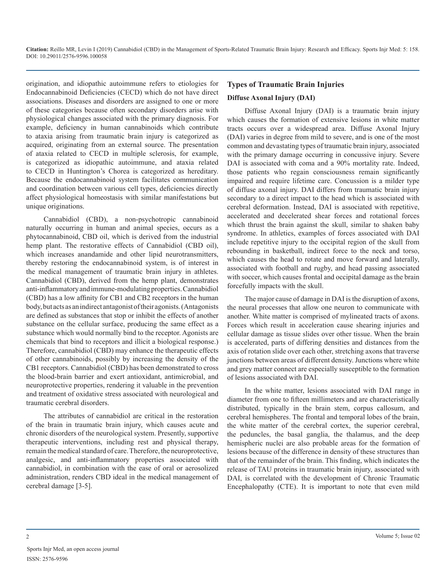origination, and idiopathic autoimmune refers to etiologies for Endocannabinoid Deficiencies (CECD) which do not have direct associations. Diseases and disorders are assigned to one or more of these categories because often secondary disorders arise with physiological changes associated with the primary diagnosis. For example, deficiency in human cannabinoids which contribute to ataxia arising from traumatic brain injury is categorized as acquired, originating from an external source. The presentation of ataxia related to CECD in multiple sclerosis, for example, is categorized as idiopathic autoimmune, and ataxia related to CECD in Huntington's Chorea is categorized as hereditary. Because the endocannabinoid system facilitates communication and coordination between various cell types, deficiencies directly affect physiological homeostasis with similar manifestations but unique originations.

Cannabidiol (CBD), a non-psychotropic cannabinoid naturally occurring in human and animal species, occurs as a phytocannabinoid, CBD oil, which is derived from the industrial hemp plant. The restorative effects of Cannabidiol (CBD oil), which increases anandamide and other lipid neurotransmitters, thereby restoring the endocannabinoid system, is of interest in the medical management of traumatic brain injury in athletes. Cannabidiol (CBD), derived from the hemp plant, demonstrates anti-inflammatory and immune-modulating properties. Cannabidiol (CBD) has a low affinity for CB1 and CB2 receptors in the human body, but acts as an indirect antagonist of their agonists. (Antagonists are defined as substances that stop or inhibit the effects of another substance on the cellular surface, producing the same effect as a substance which would normally bind to the receptor. Agonists are chemicals that bind to receptors and illicit a biological response.) Therefore, cannabidiol (CBD) may enhance the therapeutic effects of other cannabinoids, possibly by increasing the density of the CB1 receptors. Cannabidiol (CBD) has been demonstrated to cross the blood-brain barrier and exert antioxidant, antimicrobial, and neuroprotective properties, rendering it valuable in the prevention and treatment of oxidative stress associated with neurological and traumatic cerebral disorders.

The attributes of cannabidiol are critical in the restoration of the brain in traumatic brain injury, which causes acute and chronic disorders of the neurological system. Presently, supportive therapeutic interventions, including rest and physical therapy, remain the medical standard of care. Therefore, the neuroprotective, analgesic, and anti-inflammatory properties associated with cannabidiol, in combination with the ease of oral or aerosolized administration, renders CBD ideal in the medical management of cerebral damage [3-5].

# **Types of Traumatic Brain Injuries Diffuse Axonal Injury (DAI)**

Diffuse Axonal Injury (DAI) is a traumatic brain injury which causes the formation of extensive lesions in white matter tracts occurs over a widespread area. Diffuse Axonal Injury (DAI) varies in degree from mild to severe, and is one of the most common and devastating types of traumatic brain injury, associated with the primary damage occurring in concussive injury. Severe DAI is associated with coma and a 90% mortality rate. Indeed, those patients who regain consciousness remain significantly impaired and require lifetime care. Concussion is a milder type of diffuse axonal injury. DAI differs from traumatic brain injury secondary to a direct impact to the head which is associated with cerebral deformation. Instead, DAI is associated with repetitive, accelerated and decelerated shear forces and rotational forces which thrust the brain against the skull, similar to shaken baby syndrome. In athletics, examples of forces associated with DAI include repetitive injury to the occipital region of the skull from rebounding in basketball, indirect force to the neck and torso, which causes the head to rotate and move forward and laterally, associated with football and rugby, and head passing associated with soccer, which causes frontal and occipital damage as the brain forcefully impacts with the skull.

The major cause of damage in DAI is the disruption of [axons,](https://en.wikipedia.org/wiki/Axons) the neural processes that allow one [neuron](https://en.wikipedia.org/wiki/Neuron) to communicate with another. White matter is comprised of mylineated tracts of axons. Forces which result in acceleration cause shearing injuries and cellular damage as tissue slides over other tissue. When the brain is accelerated, parts of differing densities and distances from the axis of rotation slide over each other, stretching axons that traverse junctions between areas of different density. Junctions where white and grey matter connect are especially susceptible to the formation of lesions associated with DAI.

In the white matter, lesions associated with DAI range in diameter from one to fifteen millimeters and are characteristically distributed, typically in the brain stem, corpus callosum, and cerebral hemispheres. The frontal and temporal lobes of the brain, the white matter of the cerebral cortex, the superior cerebral, the peduncles, the basal ganglia, the thalamus, and the deep hemispheric nuclei are also probable areas for the formation of lesions because of the difference in density of these structures than that of the remainder of the brain. This finding, which indicates the release of TAU proteins in traumatic brain injury, associated with DAI, is correlated with the development of Chronic Traumatic Encephalopathy (CTE). It is important to note that even mild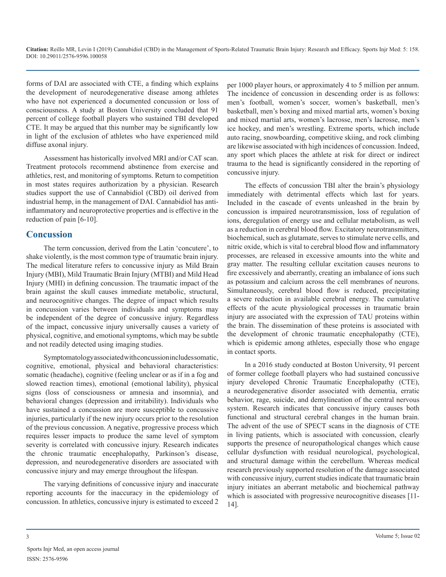forms of DAI are associated with CTE, a finding which explains the development of neurodegenerative disease among athletes who have not experienced a documented concussion or loss of consciousness. A study at Boston University concluded that 91 percent of college football players who sustained TBI developed CTE. It may be argued that this number may be significantly low in light of the exclusion of athletes who have experienced mild diffuse axonal injury.

Assessment has historically involved MRI and/or CAT scan. Treatment protocols recommend abstinence from exercise and athletics, rest, and monitoring of symptoms. Return to competition in most states requires authorization by a physician. Research studies support the use of Cannabidiol (CBD) oil derived from industrial hemp, in the management of DAI. Cannabidiol has antiinflammatory and neuroprotective properties and is effective in the reduction of pain [6-10].

# **Concussion**

The term concussion, derived from the Latin 'concutere', to shake violently, is the most common type of traumatic brain injury. The medical literature refers to concussive injury as Mild Brain Injury (MBI), Mild Traumatic Brain Injury (MTBI) and Mild Head Injury (MHI) in defining concussion. The traumatic impact of the brain against the skull causes immediate metabolic, structural, and neurocognitive changes. The degree of impact which results in concussion varies between individuals and symptoms may be independent of the degree of concussive injury. Regardless of the impact, concussive injury universally causes a variety of physical, cognitive, and emotional symptoms, which may be subtle and not readily detected using imaging studies.

Symptomatology associated with concussion includes somatic, cognitive, emotional, physical and behavioral characteristics: somatic (headache), cognitive (feeling unclear or as if in a fog and slowed reaction times), emotional (emotional lability), physical signs (loss of consciousness or amnesia and insomnia), and behavioral changes (depression and irritability). Individuals who have sustained a concussion are more susceptible to concussive injuries, particularly if the new injury occurs prior to the resolution of the previous concussion. A negative, progressive process which requires lesser impacts to produce the same level of symptom severity is correlated with concussive injury. Research indicates the chronic traumatic encephalopathy, Parkinson's disease, depression, and neurodegenerative disorders are associated with concussive injury and may emerge throughout the lifespan.

The varying definitions of concussive injury and inaccurate reporting accounts for the inaccuracy in the epidemiology of concussion. In athletics, concussive injury is estimated to exceed 2

per 1000 player hours, or approximately 4 to 5 million per annum. The incidence of concussion in descending order is as follows: men's football, women's soccer, women's basketball, men's basketball, men's boxing and mixed martial arts, women's boxing and mixed martial arts, women's lacrosse, men's lacrosse, men's ice hockey, and men's wrestling. Extreme sports, which include auto racing, snowboarding, competitive skiing, and rock climbing are likewise associated with high incidences of concussion. Indeed, any sport which places the athlete at risk for direct or indirect trauma to the head is significantly considered in the reporting of concussive injury.

The effects of concussion TBI alter the brain's physiology immediately with detrimental effects which last for years. Included in the cascade of events unleashed in the brain by concussion is impaired neurotransmission, loss of regulation of ions, deregulation of energy use and cellular metabolism, as well as a reduction in cerebral blood flow. Excitatory neurotransmitters, biochemical, such as glutamate, serves to stimulate nerve cells, and nitric oxide, which is vital to cerebral blood flow and inflammatory processes, are released in excessive amounts into the white and gray matter. The resulting cellular excitation causes neurons to fire excessively and aberrantly, creating an imbalance of ions such as potassium and calcium across the cell membranes of neurons. Simultaneously, cerebral blood flow is reduced, precipitating a severe reduction in available cerebral energy. The cumulative effects of the acute physiological processes in traumatic brain injury are associated with the expression of TAU proteins within the brain. The dissemination of these proteins is associated with the development of chronic traumatic encephalopathy (CTE), which is epidemic among athletes, especially those who engage in contact sports.

In a 2016 study conducted at Boston University, 91 percent of former college football players who had sustained concussive injury developed Chronic Traumatic Encephalopathy (CTE), a neurodegenerative disorder associated with dementia, erratic behavior, rage, suicide, and demylineation of the central nervous system. Research indicates that concussive injury causes both functional and structural cerebral changes in the human brain. The advent of the use of SPECT scans in the diagnosis of CTE in living patients, which is associated with concussion, clearly supports the presence of neuropathological changes which cause cellular dysfunction with residual neurological, psychological, and structural damage within the cerebellum. Whereas medical research previously supported resolution of the damage associated with concussive injury, current studies indicate that traumatic brain injury initiates an aberrant metabolic and biochemical pathway which is associated with progressive neurocognitive diseases [11- 14].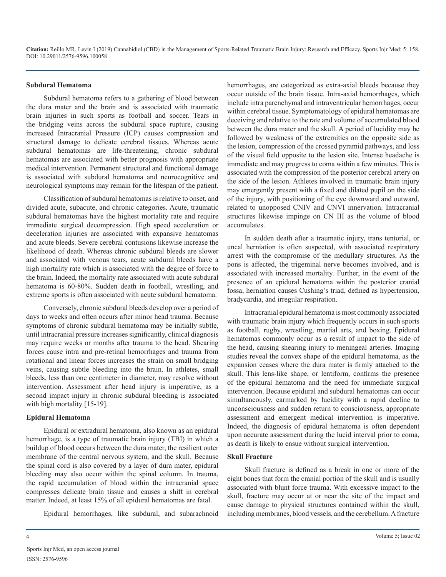#### **Subdural Hematoma**

Subdural hematoma refers to a gathering of blood between the dura mater and the brain and is associated with traumatic brain injuries in such sports as football and soccer. Tears in the bridging veins across the subdural space rupture, causing increased Intracranial Pressure (ICP) causes compression and structural damage to delicate cerebral tissues. Whereas acute subdural hematomas are life-threatening, chronic subdural hematomas are associated with better prognosis with appropriate medical intervention. Permanent structural and functional damage is associated with subdural hematoma and neurocognitive and neurological symptoms may remain for the lifespan of the patient.

Classification of subdural hematomas is relative to onset, and divided acute, subacute, and chronic categories. Acute, traumatic subdural hematomas have the highest mortality rate and require immediate surgical decompression. High speed acceleration or deceleration injuries are associated with expansive hematomas and acute bleeds. Severe cerebral contusions likewise increase the likelihood of death. Whereas chronic subdural bleeds are slower and associated with venous tears, acute subdural bleeds have a high mortality rate which is associated with the degree of force to the brain. Indeed, the mortality rate associated with acute subdural hematoma is 60-80%. Sudden death in football, wrestling, and extreme sports is often associated with acute subdural hematoma.

Conversely, chronic subdural bleeds develop over a period of days to weeks and often occurs after minor head trauma. Because symptoms of chronic subdural hematoma may be initially subtle, until intracranial pressure increases significantly, clinical diagnosis may require weeks or months after trauma to the head. Shearing forces cause intra and pre-retinal hemorrhages and trauma from rotational and linear forces increases the strain on small bridging veins, causing subtle bleeding into the brain. In athletes, small bleeds, less than one centimeter in diameter, may resolve without intervention. Assessment after head injury is imperative, as a second impact injury in chronic subdural bleeding is associated with high mortality [15-19].

#### **Epidural Hematoma**

Epidural or extradural hematoma, also known as an epidural hemorrhage, is a type of traumatic brain injury (TBI) in which a buildup of blood occurs between the dura mater, the resilient outer membrane of the central nervous system, and the skull. Because the spinal cord is also covered by a layer of dura mater, epidural bleeding may also occur within the spinal column. In trauma, the rapid accumulation of blood within the intracranial space compresses delicate brain tissue and causes a shift in cerebral matter. Indeed, at least 15% of all epidural hematomas are fatal.

Epidural hemorrhages, like subdural, and subarachnoid

deceiving and relative to the rate and volume of accumulated blood between the dura mater and the skull. A period of lucidity may be followed by weakness of the extremities on the opposite side as the lesion, compression of the crossed pyramid pathways, and loss of the visual field opposite to the lesion site. Intense headache is immediate and may progress to coma within a few minutes. This is associated with the compression of the posterior cerebral artery on the side of the lesion. Athletes involved in traumatic brain injury may emergently present with a fixed and dilated pupil on the side of the injury, with positioning of the eye downward and outward, related to unopposed CNIV and CNVI innervation. Intracranial structures likewise impinge on CN III as the volume of blood accumulates. In sudden death after a traumatic injury, trans tentorial, or

hemorrhages, are categorized as extra-axial bleeds because they occur outside of the brain tissue. Intra-axial hemorrhages, which include intra parenchymal and intraventricular hemorrhages, occur within cerebral tissue. Symptomatology of epidural hematomas are

uncal herniation is often suspected, with associated respiratory arrest with the compromise of the medullary structures. As the pons is affected, the trigeminal nerve becomes involved, and is associated with increased mortality. Further, in the event of the presence of an epidural hematoma within the posterior cranial fossa, herniation causes Cushing's triad, defined as hypertension, bradycardia, and irregular respiration.

Intracranial epidural hematoma is most commonly associated with traumatic brain injury which frequently occurs in such sports as football, rugby, wrestling, martial arts, and boxing. Epidural hematomas commonly occur as a result of impact to the side of the head, causing shearing injury to meningeal arteries. Imaging studies reveal the convex shape of the epidural hematoma, as the expansion ceases where the dura mater is firmly attached to the skull. This lens-like shape, or lentiform, confirms the presence of the epidural hematoma and the need for immediate surgical intervention. Because epidural and subdural hematomas can occur simultaneously, earmarked by lucidity with a rapid decline to unconsciousness and sudden return to consciousness, appropriate assessment and emergent medical intervention is imperative. Indeed, the diagnosis of epidural hematoma is often dependent upon accurate assessment during the lucid interval prior to coma, as death is likely to ensue without surgical intervention.

#### **Skull Fracture**

Skull fracture is defined as a break in one or more of the eight bones that form the cranial portion of the [skull](https://en.wikipedia.org/wiki/Human_skull) and is usually associated with [blunt force trauma.](https://en.wikipedia.org/wiki/Blunt_force_trauma) With excessive impact to the skull, fracture may occur at or near the site of the impact and cause damage to physical structures contained within the skull, including [membranes,](https://en.wikipedia.org/wiki/Meninges) [blood vessels](https://en.wikipedia.org/wiki/Blood_vessel), and the cerebellum. A fracture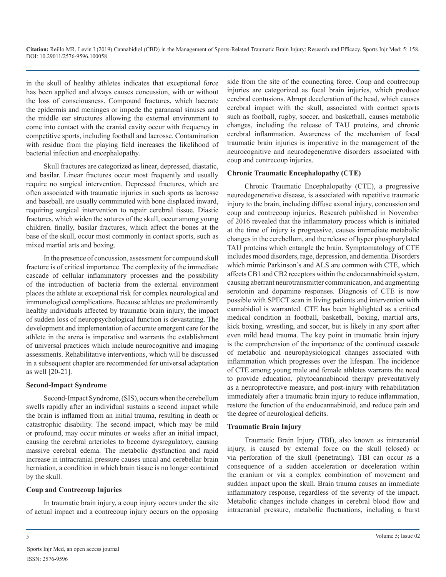in the skull of healthy athletes indicates that exceptional force has been applied and always causes concussion, with or without the loss of consciousness. Compound fractures, which lacerate the epidermis and meninges or impede the paranasal sinuses and the middle ear structures allowing the external environment to come into contact with the cranial cavity occur with frequency in competitive sports, including football and lacrosse. Contamination with residue from the playing field increases the likelihood of bacterial infection and encephalopathy.

Skull fractures are categorized as linear, depressed, diastatic, and basilar. Linear fractures occur most frequently and usually require no surgical intervention. Depressed fractures, which are often associated with traumatic injuries in such sports as lacrosse and baseball, are usually comminuted with bone displaced inward, requiring surgical intervention to repair cerebral tissue. Diastic fractures, which widen the sutures of the skull, occur among young children. finally, basilar fractures, which affect the bones at the base of the skull, occur most commonly in contact sports, such as mixed martial arts and boxing.

In the presence of concussion, assessment for compound skull fracture is of critical importance. The complexity of the immediate cascade of cellular inflammatory processes and the possibility of the introduction of bacteria from the external environment places the athlete at exceptional risk for complex neurological and immunological complications. Because athletes are predominantly healthy individuals affected by traumatic brain injury, the impact of sudden loss of neuropsychological function is devastating. The development and implementation of accurate emergent care for the athlete in the arena is imperative and warrants the establishment of universal practices which include neurocognitive and imaging assessments. Rehabilitative interventions, which will be discussed in a subsequent chapter are recommended for universal adaptation as well [20-21].

#### **Second-Impact Syndrome**

Second-Impact Syndrome, (SIS), occurs when the cerebellum swells rapidly after an individual sustains a second impact while the brain is inflamed from an initial trauma, resulting in death or catastrophic disability. The second impact, which may be mild or profound, may occur minutes or weeks after an initial impact, causing the cerebral arterioles to become dysregulatory, causing massive cerebral edema. The metabolic dysfunction and rapid increase in intracranial pressure causes uncal and cerebellar brain herniation, a condition in which brain tissue is no longer contained by the skull.

#### **Coup and Contrecoup Injuries**

In traumatic brain injury, a coup injury occurs under the site of actual impact and a contrecoup injury occurs on the opposing side from the site of the connecting force. Coup and contrecoup injuries are categorized as focal brain injuries, which produce cerebral contusions. Abrupt deceleration of the head, which causes cerebral impact with the skull, associated with contact sports such as football, rugby, soccer, and basketball, causes metabolic changes, including the release of TAU proteins, and chronic cerebral inflammation. Awareness of the mechanism of focal traumatic brain injuries is imperative in the management of the neurocognitive and neurodegenerative disorders associated with coup and contrecoup injuries.

#### **Chronic Traumatic Encephalopathy (CTE)**

Chronic Traumatic Encephalopathy (CTE), a progressive neurodegenerative disease, is associated with repetitive traumatic injury to the brain, including diffuse axonal injury, concussion and coup and contrecoup injuries. Research published in November of 2016 revealed that the inflammatory process which is initiated at the time of injury is progressive, causes immediate metabolic changes in the cerebellum, and the release of hyper phosphorylated TAU proteins which entangle the brain. Symptomatology of CTE includes mood disorders, rage, depression, and dementia. Disorders which mimic Parkinson's and ALS are common with CTE, which affects CB1 and CB2 receptors within the endocannabinoid system, causing aberrant neurotransmitter communication, and augmenting serotonin and dopamine responses. Diagnosis of CTE is now possible with SPECT scan in living patients and intervention with cannabidiol is warranted. CTE has been highlighted as a critical medical condition in football, basketball, boxing, martial arts, kick boxing, wrestling, and soccer, but is likely in any sport after even mild head trauma. The key point in traumatic brain injury is the comprehension of the importance of the continued cascade of metabolic and neurophysiological changes associated with inflammation which progresses over the lifespan. The incidence of CTE among young male and female athletes warrants the need to provide education, phytocannabinoid therapy preventatively as a neuroprotective measure, and post-injury with rehabilitation immediately after a traumatic brain injury to reduce inflammation, restore the function of the endocannabinoid, and reduce pain and the degree of neurological deficits.

#### **Traumatic Brain Injury**

Traumatic Brain Injury (TBI), also known as intracranial injury, is caused by external force on the skull (closed) or via perforation of the skull (penetrating). TBI can occur as a consequence of a sudden acceleration or deceleration within the cranium or via a complex combination of movement and sudden impact upon the skull. Brain trauma causes an immediate inflammatory response, regardless of the severity of the impact. Metabolic changes include changes in cerebral blood flow and intracranial pressure, metabolic fluctuations, including a burst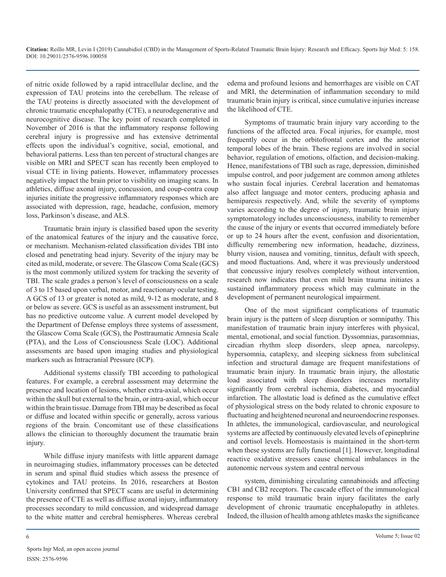of nitric oxide followed by a rapid intracellular decline, and the expression of TAU proteins into the cerebellum. The release of the TAU proteins is directly associated with the development of chronic traumatic encephalopathy (CTE), a neurodegenerative and neurocognitive disease. The key point of research completed in November of 2016 is that the inflammatory response following cerebral injury is progressive and has extensive detrimental effects upon the individual's cognitive, social, emotional, and behavioral patterns. Less than ten percent of structural changes are visible on MRI and SPECT scan has recently been employed to visual CTE in living patients. However, inflammatory processes negatively impact the brain prior to visibility on imaging scans. In athletics, diffuse axonal injury, concussion, and coup-contra coup injuries initiate the progressive inflammatory responses which are associated with depression, rage, headache, confusion, memory loss, Parkinson's disease, and ALS.

Traumatic brain injury is classified based upon the severity of the anatomical features of the injury and the causative force, or mechanism. Mechanism-related classification divides TBI into closed and penetrating head injury. Severity of the injury may be cited as mild, moderate, or severe. The Glascow Coma Scale (GCS) is the most commonly utilized system for tracking the severity of TBI. The scale grades a person's level of consciousness on a scale of 3 to 15 based upon verbal, motor, and reactionary ocular testing. A GCS of 13 or greater is noted as mild, 9-12 as moderate, and 8 or below as severe. GCS is useful as an assessment instrument, but has no predictive outcome value. A current model developed by the Department of Defense employs three systems of assessment, the Glascow Coma Scale (GCS), the Posttraumatic Amnesia Scale (PTA), and the Loss of Consciousness Scale (LOC). Additional assessments are based upon imaging studies and physiological markers such as Intracranial Pressure (ICP).

Additional systems classify TBI according to pathological features. For example, a cerebral assessment may determine the presence and location of lesions, whether extra-axial, which occur within the skull but external to the brain, or intra-axial, which occur within the brain tissue. Damage from TBI may be described as focal or diffuse and located within specific or generally, across various regions of the brain. Concomitant use of these classifications allows the clinician to thoroughly document the traumatic brain injury.

While diffuse injury manifests with little apparent damage in neuroimaging studies, inflammatory processes can be detected in serum and spinal fluid studies which assess the presence of cytokines and TAU proteins. In 2016, researchers at Boston University confirmed that SPECT scans are useful in determining the presence of CTE as well as diffuse axonal injury, inflammatory processes secondary to mild concussion, and widespread damage to the white matter and cerebral hemispheres. Whereas cerebral

edema and profound lesions and hemorrhages are visible on CAT and MRI, the determination of inflammation secondary to mild traumatic brain injury is critical, since cumulative injuries increase the likelihood of CTE.

Symptoms of traumatic brain injury vary according to the functions of the affected area. Focal injuries, for example, most frequently occur in the orbitofrontal cortex and the anterior temporal lobes of the brain. These regions are involved in social behavior, regulation of emotions, olfaction, and decision-making. Hence, manifestations of TBI such as rage, depression, diminished impulse control, and poor judgement are common among athletes who sustain focal injuries. Cerebral laceration and hematomas also affect language and motor centers, producing aphasia and hemiparesis respectively. And, while the severity of symptoms varies according to the degree of injury, traumatic brain injury symptomatology includes unconsciousness, inability to remember the cause of the injury or events that occurred immediately before or up to 24 hours after the event, confusion and disorientation, difficulty remembering new information, headache, dizziness, blurry vision, nausea and vomiting, tinnitus, default with speech, and mood fluctuations. And, where it was previously understood that concussive injury resolves completely without intervention, research now indicates that even mild brain trauma initiates a sustained inflammatory process which may culminate in the development of permanent neurological impairment.

One of the most significant complications of traumatic brain injury is the pattern of sleep disruption or somnipathy. This manifestation of traumatic brain injury interferes with physical, mental, emotional, and social function. Dyssomnias, parasomnias, circadian rhythm sleep disorders, sleep apnea, narcolepsy, hypersomnia, cataplexy, and sleeping sickness from subclinical infection and structural damage are frequent manifestations of traumatic brain injury. In traumatic brain injury, the allostatic load associated with sleep disorders increases mortality significantly from cerebral ischemia, diabetes, and myocardial infarction. The allostatic load is defined as the cumulative effect of physiological stress on the body related to chronic exposure to fluctuating and heightened neuronal and neuroendocrine responses. In athletes, the immunological, cardiovascular, and neurological systems are affected by continuously elevated levels of epinephrine and cortisol levels. Homeostasis is maintained in the short-term when these systems are fully functional [1]. However, longitudinal reactive oxidative stressors cause chemical imbalances in the autonomic nervous system and central nervous

system, diminishing circulating cannabinoids and affecting CB1 and CB2 receptors. The cascade effect of the immunological response to mild traumatic brain injury facilitates the early development of chronic traumatic encephalopathy in athletes. Indeed, the illusion of health among athletes masks the significance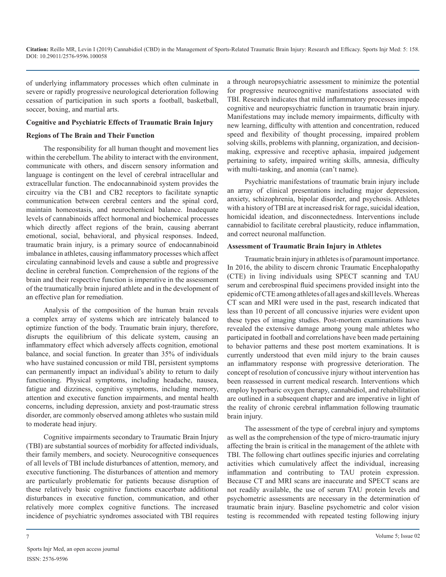of underlying inflammatory processes which often culminate in severe or rapidly progressive neurological deterioration following cessation of participation in such sports a football, basketball, soccer, boxing, and martial arts.

#### **Cognitive and Psychiatric Effects of Traumatic Brain Injury**

#### **Regions of The Brain and Their Function**

The responsibility for all human thought and movement lies within the cerebellum. The ability to interact with the environment, communicate with others, and discern sensory information and language is contingent on the level of cerebral intracellular and extracellular function. The endocannabinoid system provides the circuitry via the CB1 and CB2 receptors to facilitate synaptic communication between cerebral centers and the spinal cord, maintain homeostasis, and neurochemical balance. Inadequate levels of cannabinoids affect hormonal and biochemical processes which directly affect regions of the brain, causing aberrant emotional, social, behavioral, and physical responses. Indeed, traumatic brain injury, is a primary source of endocannabinoid imbalance in athletes, causing inflammatory processes which affect circulating cannabinoid levels and cause a subtle and progressive decline in cerebral function. Comprehension of the regions of the brain and their respective function is imperative in the assessment of the traumatically brain injured athlete and in the development of an effective plan for remediation.

Analysis of the composition of the human brain reveals a complex array of systems which are intricately balanced to optimize function of the body. Traumatic brain injury, therefore, disrupts the equilibrium of this delicate system, causing an inflammatory effect which adversely affects cognition, emotional balance, and social function. In greater than 35% of individuals who have sustained concussion or mild TBI, persistent symptoms can permanently impact an individual's ability to return to daily functioning. Physical symptoms, including headache, nausea, fatigue and dizziness, cognitive symptoms, including memory, attention and executive function impairments, and mental health concerns, including depression, anxiety and post-traumatic stress disorder, are commonly observed among athletes who sustain mild to moderate head injury.

Cognitive impairments secondary to Traumatic Brain Injury (TBI) are substantial sources of morbidity for affected individuals, their family members, and society. Neurocognitive consequences of all levels of TBI include disturbances of attention, memory, and executive functioning. The disturbances of attention and memory are particularly problematic for patients because disruption of these relatively basic cognitive functions exacerbate additional disturbances in executive function, communication, and other relatively more complex cognitive functions. The increased incidence of psychiatric syndromes associated with TBI requires

a through neuropsychiatric assessment to minimize the potential for progressive neurocognitive manifestations associated with TBI. Research indicates that mild inflammatory processes impede cognitive and neuropsychiatric function in traumatic brain injury. Manifestations may include memory impairments, difficulty with new learning, difficulty with attention and concentration, reduced speed and flexibility of thought processing, impaired problem solving skills, problems with planning, organization, and decisionmaking, expressive and receptive aphasia, impaired judgement pertaining to safety, impaired writing skills, amnesia, difficulty with multi-tasking, and anomia (can't name).

Psychiatric manifestations of traumatic brain injury include an array of clinical presentations including major depression, anxiety, schizophrenia, bipolar disorder, and psychosis. Athletes with a history of TBI are at increased risk for rage, suicidal ideation, homicidal ideation, and disconnectedness. Interventions include cannabidiol to facilitate cerebral plausticity, reduce inflammation, and correct neuronal malfunction.

#### **Assessment of Traumatic Brain Injury in Athletes**

Traumatic brain injury in athletes is of paramount importance. In 2016, the ability to discern chronic Traumatic Encephalopathy (CTE) in living individuals using SPECT scanning and TAU serum and cerebrospinal fluid specimens provided insight into the epidemic of CTE among athletes of all ages and skill levels. Whereas CT scan and MRI were used in the past, research indicated that less than 10 percent of all concussive injuries were evident upon these types of imaging studies. Post-mortem examinations have revealed the extensive damage among young male athletes who participated in football and correlations have been made pertaining to behavior patterns and these post mortem examinations. It is currently understood that even mild injury to the brain causes an inflammatory response with progressive deterioration. The concept of resolution of concussive injury without intervention has been reassessed in current medical research. Interventions which employ hyperbaric oxygen therapy, cannabidiol, and rehabilitation are outlined in a subsequent chapter and are imperative in light of the reality of chronic cerebral inflammation following traumatic brain injury.

The assessment of the type of cerebral injury and symptoms as well as the comprehension of the type of micro-traumatic injury affecting the brain is critical in the management of the athlete with TBI. The following chart outlines specific injuries and correlating activities which cumulatively affect the individual, increasing inflammation and contributing to TAU protein expression. Because CT and MRI scans are inaccurate and SPECT scans are not readily available, the use of serum TAU protein levels and psychometric assessments are necessary in the determination of traumatic brain injury. Baseline psychometric and color vision testing is recommended with repeated testing following injury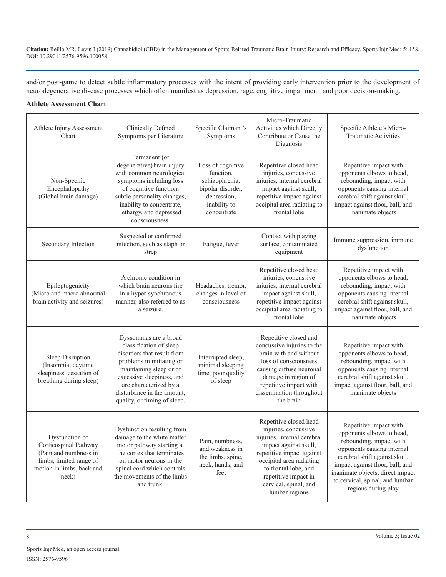and/or post-game to detect subtle inflammatory processes with the intent of providing early intervention prior to the development of neurodegenerative disease processes which often manifest as depression, rage, cognitive impairment, and poor decision-making.

### **Athlete Assessment Chart**

| Athlete Injury Assessment<br>Chart                                                                                                | Clinically Defined<br>Symptoms per Literature                                                                                                                                                                                                                | Specific Claimant's<br>Symptoms                                                                                     | Micro-Traumatic<br>Activities which Directly<br>Contribute or Cause the<br>Diagnosis                                                                                                                                                                       | Specific Athlete's Micro-<br><b>Traumatic Activities</b>                                                                                                                                                                                                                       |
|-----------------------------------------------------------------------------------------------------------------------------------|--------------------------------------------------------------------------------------------------------------------------------------------------------------------------------------------------------------------------------------------------------------|---------------------------------------------------------------------------------------------------------------------|------------------------------------------------------------------------------------------------------------------------------------------------------------------------------------------------------------------------------------------------------------|--------------------------------------------------------------------------------------------------------------------------------------------------------------------------------------------------------------------------------------------------------------------------------|
| Non-Specific<br>Encephalopathy<br>(Global brain damage)                                                                           | Permanent (or<br>degenerative) brain injury<br>with common neurological<br>symptoms including loss<br>of cognitive function,<br>subtle personality changes,<br>inability to concentrate,<br>lethargy, and depressed<br>consciousness.                        | Loss of cognitive<br>function,<br>schizophrenia,<br>bipolar disorder,<br>depression,<br>inability to<br>concentrate | Repetitive closed head<br>injuries, concussive<br>injuries, internal cerebral<br>impact against skull,<br>repetitive impact against<br>occipital area radiating to<br>frontal lobe                                                                         | Repetitive impact with<br>opponents elbows to head,<br>rebounding, impact with<br>opponents causing internal<br>cerebral shift against skull,<br>impact against floor, ball, and<br>inanimate objects                                                                          |
| Secondary Infection                                                                                                               | Suspected or confirmed<br>infection, such as staph or<br>strep                                                                                                                                                                                               | Fatigue, fever                                                                                                      | Contact with playing<br>surface, contaminated<br>equipment                                                                                                                                                                                                 | Immune suppression, immune<br>dysfunction                                                                                                                                                                                                                                      |
| Epileptogenicity<br>(Micro and macro abnormal<br>brain activity and seizures)                                                     | A chronic condition in<br>which brain neurons fire<br>in a hyper-synchronous<br>manner, also referred to as<br>a seizure.                                                                                                                                    | Headaches, tremor,<br>changes in level of<br>consciousness                                                          | Repetitive closed head<br>injuries, concussive<br>injuries, internal cerebral<br>impact against skull,<br>repetitive impact against<br>occipital area radiating to<br>frontal lobe                                                                         | Repetitive impact with<br>opponents elbows to head,<br>rebounding, impact with<br>opponents causing internal<br>cerebral shift against skull,<br>impact against floor, ball, and<br>inanimate objects                                                                          |
| Sleep Disruption<br>(Insomnia, daytime<br>sleepiness, cessation of<br>breathing during sleep)                                     | Dyssomnias are a broad<br>classification of sleep<br>disorders that result from<br>problems in initiating or<br>maintaining sleep or of<br>excessive sleepiness, and<br>are characterized by a<br>disturbance in the amount,<br>quality, or timing of sleep. | Interrupted sleep,<br>minimal sleeping<br>time, poor quality<br>of sleep                                            | Repetitive closed and<br>concussive injuries to the<br>brain with and without<br>loss of consciousness<br>causing diffuse neuronal<br>damage in region of<br>repetitive impact with<br>dissemination throughout<br>the brain                               | Repetitive impact with<br>opponents elbows to head,<br>rebounding, impact with<br>opponents causing internal<br>cerebral shift against skull,<br>impact against floor, ball, and<br>inanimate objects                                                                          |
| Dysfunction of<br>Corticospinal Pathway<br>(Pain and numbness in<br>limbs, limited range of<br>motion in limbs, back and<br>neck) | Dysfunction resulting from<br>damage to the white matter<br>motor pathway starting at<br>the cortex that terminates<br>on motor neurons in the<br>spinal cord which controls<br>the movements of the limbs<br>and trunk.                                     | Pain, numbness,<br>and weakness in<br>the limbs, spine,<br>neck, hands, and<br>feet                                 | Repetitive closed head<br>injuries, concussive<br>injuries, internal cerebral<br>impact against skull,<br>repetitive impact against<br>occipital area radiating<br>to frontal lobe, and<br>repetitive impact in<br>cervical, spinal, and<br>lumbar regions | Repetitive impact with<br>opponents elbows to head,<br>rebounding, impact with<br>opponents causing internal<br>cerebral shift against skull,<br>impact against floor, ball, and<br>inanimate objects, direct impact<br>to cervical, spinal, and lumbar<br>regions during play |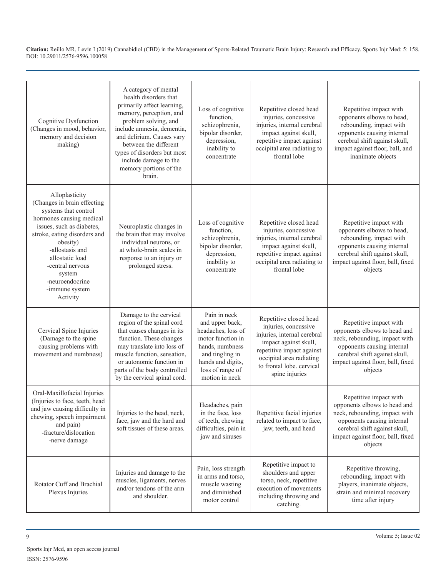| Cognitive Dysfunction<br>(Changes in mood, behavior,<br>memory and decision<br>making)                                                                                                                                                                                                          | A category of mental<br>health disorders that<br>primarily affect learning,<br>memory, perception, and<br>problem solving, and<br>include amnesia, dementia,<br>and delirium. Causes vary<br>between the different<br>types of disorders but most<br>include damage to the<br>memory portions of the<br>brain. | Loss of cognitive<br>function,<br>schizophrenia,<br>bipolar disorder,<br>depression,<br>inability to<br>concentrate                                                         | Repetitive closed head<br>injuries, concussive<br>injuries, internal cerebral<br>impact against skull,<br>repetitive impact against<br>occipital area radiating to<br>frontal lobe                             | Repetitive impact with<br>opponents elbows to head,<br>rebounding, impact with<br>opponents causing internal<br>cerebral shift against skull,<br>impact against floor, ball, and<br>inanimate objects  |
|-------------------------------------------------------------------------------------------------------------------------------------------------------------------------------------------------------------------------------------------------------------------------------------------------|----------------------------------------------------------------------------------------------------------------------------------------------------------------------------------------------------------------------------------------------------------------------------------------------------------------|-----------------------------------------------------------------------------------------------------------------------------------------------------------------------------|----------------------------------------------------------------------------------------------------------------------------------------------------------------------------------------------------------------|--------------------------------------------------------------------------------------------------------------------------------------------------------------------------------------------------------|
| Alloplasticity<br>(Changes in brain effecting<br>systems that control<br>hormones causing medical<br>issues, such as diabetes,<br>stroke, eating disorders and<br>obesity)<br>-allostasis and<br>allostatic load<br>-central nervous<br>system<br>-neuroendocrine<br>-immune system<br>Activity | Neuroplastic changes in<br>the brain that may involve<br>individual neurons, or<br>at whole-brain scales in<br>response to an injury or<br>prolonged stress.                                                                                                                                                   | Loss of cognitive<br>function,<br>schizophrenia,<br>bipolar disorder,<br>depression,<br>inability to<br>concentrate                                                         | Repetitive closed head<br>injuries, concussive<br>injuries, internal cerebral<br>impact against skull,<br>repetitive impact against<br>occipital area radiating to<br>frontal lobe                             | Repetitive impact with<br>opponents elbows to head,<br>rebounding, impact with<br>opponents causing internal<br>cerebral shift against skull,<br>impact against floor, ball, fixed<br>objects          |
| Cervical Spine Injuries<br>(Damage to the spine<br>causing problems with<br>movement and numbness)                                                                                                                                                                                              | Damage to the cervical<br>region of the spinal cord<br>that causes changes in its<br>function. These changes<br>may translate into loss of<br>muscle function, sensation,<br>or autonomic function in<br>parts of the body controlled<br>by the cervical spinal cord.                                          | Pain in neck<br>and upper back,<br>headaches, loss of<br>motor function in<br>hands, numbness<br>and tingling in<br>hands and digits,<br>loss of range of<br>motion in neck | Repetitive closed head<br>injuries, concussive<br>injuries, internal cerebral<br>impact against skull,<br>repetitive impact against<br>occipital area radiating<br>to frontal lobe. cervical<br>spine injuries | Repetitive impact with<br>opponents elbows to head and<br>neck, rebounding, impact with<br>opponents causing internal<br>cerebral shift against skull,<br>impact against floor, ball, fixed<br>objects |
| Oral-Maxillofacial Injuries<br>(Injuries to face, teeth, head<br>and jaw causing difficulty in<br>chewing, speech impairment<br>and pain)<br>-fracture/dislocation<br>-nerve damage                                                                                                             | Injuries to the head, neck,<br>face, jaw and the hard and<br>soft tissues of these areas.                                                                                                                                                                                                                      | Headaches, pain<br>in the face, loss<br>of teeth, chewing<br>difficulties, pain in<br>jaw and sinuses                                                                       | Repetitive facial injuries<br>related to impact to face,<br>jaw, teeth, and head                                                                                                                               | Repetitive impact with<br>opponents elbows to head and<br>neck, rebounding, impact with<br>opponents causing internal<br>cerebral shift against skull,<br>impact against floor, ball, fixed<br>objects |
| Rotator Cuff and Brachial<br>Plexus Injuries                                                                                                                                                                                                                                                    | Injuries and damage to the<br>muscles, ligaments, nerves<br>and/or tendons of the arm<br>and shoulder.                                                                                                                                                                                                         | Pain, loss strength<br>in arms and torso.<br>muscle wasting<br>and diminished<br>motor control                                                                              | Repetitive impact to<br>shoulders and upper<br>torso, neck, repetitive<br>execution of movements<br>including throwing and<br>catching.                                                                        | Repetitive throwing,<br>rebounding, impact with<br>players, inanimate objects,<br>strain and minimal recovery<br>time after injury                                                                     |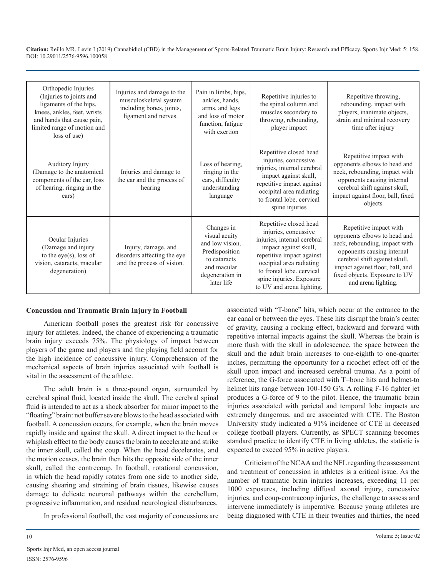| Orthopedic Injuries<br>(Injuries to joints and<br>ligaments of the hips,<br>knees, ankles, feet, wrists<br>and hands that cause pain,<br>limited range of motion and<br>loss of use) | Injuries and damage to the<br>musculoskeletal system<br>including bones, joints,<br>ligament and nerves. | Pain in limbs, hips,<br>ankles, hands,<br>arms, and legs<br>and loss of motor<br>function, fatigue<br>with exertion              | Repetitive injuries to<br>the spinal column and<br>muscles secondary to<br>throwing, rebounding,<br>player impact                                                                                                                                     | Repetitive throwing,<br>rebounding, impact with<br>players, inanimate objects,<br>strain and minimal recovery<br>time after injury                                                                                                                |
|--------------------------------------------------------------------------------------------------------------------------------------------------------------------------------------|----------------------------------------------------------------------------------------------------------|----------------------------------------------------------------------------------------------------------------------------------|-------------------------------------------------------------------------------------------------------------------------------------------------------------------------------------------------------------------------------------------------------|---------------------------------------------------------------------------------------------------------------------------------------------------------------------------------------------------------------------------------------------------|
| Auditory Injury<br>(Damage to the anatomical<br>components of the ear, loss<br>of hearing, ringing in the<br>ears)                                                                   | Injuries and damage to<br>the ear and the process of<br>hearing                                          | Loss of hearing,<br>ringing in the<br>ears, difficulty<br>understanding<br>language                                              | Repetitive closed head<br>injuries, concussive<br>injuries, internal cerebral<br>impact against skull,<br>repetitive impact against<br>occipital area radiating<br>to frontal lobe, cervical<br>spine injuries                                        | Repetitive impact with<br>opponents elbows to head and<br>neck, rebounding, impact with<br>opponents causing internal<br>cerebral shift against skull,<br>impact against floor, ball, fixed<br>objects                                            |
| Ocular Injuries<br>(Damage and injury<br>to the eye(s), loss of<br>vision, cataracts, macular<br>degeneration)                                                                       | Injury, damage, and<br>disorders affecting the eye<br>and the process of vision.                         | Changes in<br>visual acuity<br>and low vision.<br>Predisposition<br>to cataracts<br>and macular<br>degeneration in<br>later life | Repetitive closed head<br>injuries, concussive<br>injuries, internal cerebral<br>impact against skull,<br>repetitive impact against<br>occipital area radiating<br>to frontal lobe, cervical<br>spine injuries. Exposure<br>to UV and arena lighting. | Repetitive impact with<br>opponents elbows to head and<br>neck, rebounding, impact with<br>opponents causing internal<br>cerebral shift against skull,<br>impact against floor, ball, and<br>fixed objects. Exposure to UV<br>and arena lighting. |

#### **Concussion and Traumatic Brain Injury in Football**

American football poses the greatest risk for concussive injury for athletes. Indeed, the chance of experiencing a traumatic brain injury exceeds 75%. The physiology of impact between players of the game and players and the playing field account for the high incidence of concussive injury. Comprehension of the mechanical aspects of brain injuries associated with football is vital in the assessment of the athlete.

The adult brain is a three-pound organ, surrounded by cerebral spinal fluid, located inside the skull. The cerebral spinal fluid is intended to act as a shock absorber for minor impact to the "floating" brain: not buffer severe blows to the head associated with football. A concussion occurs, for example, when the brain moves rapidly inside and against the skull. A direct impact to the head or whiplash effect to the body causes the brain to accelerate and strike the inner skull, called the coup. When the head decelerates, and the motion ceases, the brain then hits the opposite side of the inner skull, called the contrecoup. In football, rotational concussion, in which the head rapidly rotates from one side to another side, causing shearing and straining of brain tissues, likewise causes damage to delicate neuronal pathways within the cerebellum, progressive inflammation, and residual neurological disturbances.

In professional football, the vast majority of concussions are

associated with "T-bone" hits, which occur at the entrance to the ear canal or between the eyes. These hits disrupt the brain's center of gravity, causing a rocking effect, backward and forward with repetitive internal impacts against the skull. Whereas the brain is more flush with the skull in adolescence, the space between the skull and the adult brain increases to one-eighth to one-quarter inches, permitting the opportunity for a ricochet effect off of the skull upon impact and increased cerebral trauma. As a point of reference, the G-force associated with T=bone hits and helmet-to helmet hits range between 100-150 G's. A rolling F-16 fighter jet produces a G-force of 9 to the pilot. Hence, the traumatic brain injuries associated with parietal and temporal lobe impacts are extremely dangerous, and are associated with CTE. The Boston University study indicated a 91% incidence of CTE in deceased college football players. Currently, as SPECT scanning becomes standard practice to identify CTE in living athletes, the statistic is expected to exceed 95% in active players.

Criticism of the NCAA and the NFL regarding the assessment and treatment of concussion in athletes is a critical issue. As the number of traumatic brain injuries increases, exceeding 11 per 1000 exposures, including diffusal axonal injury, concussive injuries, and coup-contracoup injuries, the challenge to assess and intervene immediately is imperative. Because young athletes are being diagnosed with CTE in their twenties and thirties, the need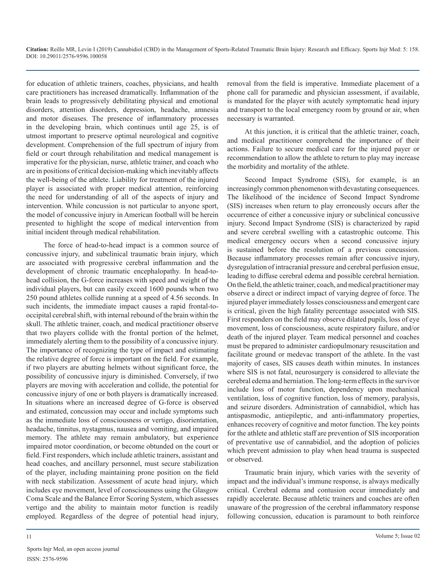for education of athletic trainers, coaches, physicians, and health care practitioners has increased dramatically. Inflammation of the brain leads to progressively debilitating physical and emotional disorders, attention disorders, depression, headache, amnesia and motor diseases. The presence of inflammatory processes in the developing brain, which continues until age 25, is of utmost important to preserve optimal neurological and cognitive development. Comprehension of the full spectrum of injury from field or court through rehabilitation and medical management is imperative for the physician, nurse, athletic trainer, and coach who are in positions of critical decision-making which inevitably affects the well-being of the athlete. Liability for treatment of the injured player is associated with proper medical attention, reinforcing the need for understanding of all of the aspects of injury and intervention. While concussion is not particular to anyone sport, the model of concussive injury in American football will be herein presented to highlight the scope of medical intervention from initial incident through medical rehabilitation.

The force of head-to-head impact is a common source of concussive injury, and subclinical traumatic brain injury, which are associated with progressive cerebral inflammation and the development of chronic traumatic encephalopathy. In head-tohead collision, the G-force increases with speed and weight of the individual players, but can easily exceed 1600 pounds when two 250 pound athletes collide running at a speed of 4.56 seconds. In such incidents, the immediate impact causes a rapid frontal-tooccipital cerebral shift, with internal rebound of the brain within the skull. The athletic trainer, coach, and medical practitioner observe that two players collide with the frontal portion of the helmet, immediately alerting them to the possibility of a concussive injury. The importance of recognizing the type of impact and estimating the relative degree of force is important on the field. For example, if two players are abutting helmets without significant force, the possibility of concussive injury is diminished. Conversely, if two players are moving with acceleration and collide, the potential for concussive injury of one or both players is dramatically increased. In situations where an increased degree of G-force is observed and estimated, concussion may occur and include symptoms such as the immediate loss of consciousness or vertigo, disorientation, headache, tinnitus, nystagmus, nausea and vomiting, and impaired memory. The athlete may remain ambulatory, but experience impaired motor coordination, or become obtunded on the court or field. First responders, which include athletic trainers, assistant and head coaches, and ancillary personnel, must secure stabilization of the player, including maintaining prone position on the field with neck stabilization. Assessment of acute head injury, which includes eye movement, level of consciousness using the Glasgow Coma Scale and the Balance Error Scoring System, which assesses vertigo and the ability to maintain motor function is readily employed. Regardless of the degree of potential head injury,

removal from the field is imperative. Immediate placement of a phone call for paramedic and physician assessment, if available, is mandated for the player with acutely symptomatic head injury and transport to the local emergency room by ground or air, when necessary is warranted.

At this junction, it is critical that the athletic trainer, coach, and medical practitioner comprehend the importance of their actions. Failure to secure medical care for the injured payer or recommendation to allow the athlete to return to play may increase the morbidity and mortality of the athlete.

Second Impact Syndrome (SIS), for example, is an increasingly common phenomenon with devastating consequences. The likelihood of the incidence of Second Impact Syndrome (SIS) increases when return to play erroneously occurs after the occurrence of either a concussive injury or subclinical concussive injury. Second Impact Syndrome (SIS) is characterized by rapid and severe cerebral swelling with a catastrophic outcome. This medical emergency occurs when a second concussive injury is sustained before the resolution of a previous concussion. Because inflammatory processes remain after concussive injury, dysregulation of intracranial pressure and cerebral perfusion ensue, leading to diffuse cerebral edema and possible cerebral herniation. On the field, the athletic trainer, coach, and medical practitioner may observe a direct or indirect impact of varying degree of force. The injured player immediately losses consciousness and emergent care is critical, given the high fatality percentage associated with SIS. First responders on the field may observe dilated pupils, loss of eye movement, loss of consciousness, acute respiratory failure, and/or death of the injured player. Team medical personnel and coaches must be prepared to administer cardiopulmonary resuscitation and facilitate ground or medevac transport of the athlete. In the vast majority of cases, SIS causes death within minutes. In instances where SIS is not fatal, neurosurgery is considered to alleviate the cerebral edema and herniation. The long-term effects in the survivor include loss of motor function, dependency upon mechanical ventilation, loss of cognitive function, loss of memory, paralysis, and seizure disorders. Administration of cannabidiol, which has antispasmodic, antiepileptic, and anti-inflammatory properties, enhances recovery of cognitive and motor function. The key points for the athlete and athletic staff are prevention of SIS incorporation of preventative use of cannabidiol, and the adoption of policies which prevent admission to play when head trauma is suspected or observed.

Traumatic brain injury, which varies with the severity of impact and the individual's immune response, is always medically critical. Cerebral edema and contusion occur immediately and rapidly accelerate. Because athletic trainers and coaches are often unaware of the progression of the cerebral inflammatory response following concussion, education is paramount to both reinforce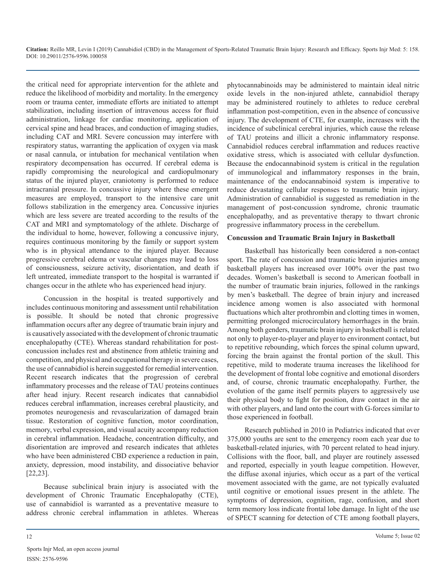the critical need for appropriate intervention for the athlete and reduce the likelihood of morbidity and mortality. In the emergency room or trauma center, immediate efforts are initiated to attempt stabilization, including insertion of intravenous access for fluid administration, linkage for cardiac monitoring, application of cervical spine and head braces, and conduction of imaging studies, including CAT and MRI. Severe concussion may interfere with respiratory status, warranting the application of oxygen via mask or nasal cannula, or intubation for mechanical ventilation when respiratory decompensation has occurred. If cerebral edema is rapidly compromising the neurological and cardiopulmonary status of the injured player, craniotomy is performed to reduce intracranial pressure. In concussive injury where these emergent measures are employed, transport to the intensive care unit follows stabilization in the emergency area. Concussive injuries which are less severe are treated according to the results of the CAT and MRI and symptomatology of the athlete. Discharge of the individual to home, however, following a concussive injury, requires continuous monitoring by the family or support system who is in physical attendance to the injured player. Because progressive cerebral edema or vascular changes may lead to loss of consciousness, seizure activity, disorientation, and death if left untreated, immediate transport to the hospital is warranted if changes occur in the athlete who has experienced head injury.

Concussion in the hospital is treated supportively and includes continuous monitoring and assessment until rehabilitation is possible. It should be noted that chronic progressive inflammation occurs after any degree of traumatic brain injury and is causatively associated with the development of chronic traumatic encephalopathy (CTE). Whereas standard rehabilitation for postconcussion includes rest and abstinence from athletic training and competition, and physical and occupational therapy in severe cases, the use of cannabidiol is herein suggested for remedial intervention. Recent research indicates that the progression of cerebral inflammatory processes and the release of TAU proteins continues after head injury. Recent research indicates that cannabidiol reduces cerebral inflammation, increases cerebral plausticity, and promotes neurogenesis and revascularization of damaged brain tissue. Restoration of cognitive function, motor coordination, memory, verbal expression, and visual acuity accompany reduction in cerebral inflammation. Headache, concentration difficulty, and disorientation are improved and research indicates that athletes who have been administered CBD experience a reduction in pain, anxiety, depression, mood instability, and dissociative behavior [22,23].

Because subclinical brain injury is associated with the development of Chronic Traumatic Encephalopathy (CTE), use of cannabidiol is warranted as a preventative measure to address chronic cerebral inflammation in athletes. Whereas phytocannabinoids may be administered to maintain ideal nitric oxide levels in the non-injured athlete, cannabidiol therapy may be administered routinely to athletes to reduce cerebral inflammation post-competition, even in the absence of concussive injury. The development of CTE, for example, increases with the incidence of subclinical cerebral injuries, which cause the release of TAU proteins and illicit a chronic inflammatory response. Cannabidiol reduces cerebral inflammation and reduces reactive oxidative stress, which is associated with cellular dysfunction. Because the endocannabinoid system is critical in the regulation of immunological and inflammatory responses in the brain, maintenance of the endocannabinoid system is imperative to reduce devastating cellular responses to traumatic brain injury. Administration of cannabidiol is suggested as remediation in the management of post-concussion syndrome, chronic traumatic encephalopathy, and as preventative therapy to thwart chronic progressive inflammatory process in the cerebellum.

#### **Concussion and Traumatic Brain Injury in Basketball**

Basketball has historically been considered a non-contact sport. The rate of concussion and traumatic brain injuries among basketball players has increased over 100% over the past two decades. Women's basketball is second to American football in the number of traumatic brain injuries, followed in the rankings by men's basketball. The degree of brain injury and increased incidence among women is also associated with hormonal fluctuations which alter prothrombin and clotting times in women, permitting prolonged microcirculatory hemorrhages in the brain. Among both genders, traumatic brain injury in basketball is related not only to player-to-player and player to environment contact, but to repetitive rebounding, which forces the spinal column upward, forcing the brain against the frontal portion of the skull. This repetitive, mild to moderate trauma increases the likelihood for the development of frontal lobe cognitive and emotional disorders and, of course, chronic traumatic encephalopathy. Further, the evolution of the game itself permits players to aggressively use their physical body to fight for position, draw contact in the air with other players, and land onto the court with G-forces similar to those experienced in football.

Research published in 2010 in Pediatrics indicated that over 375,000 youths are sent to the emergency room each year due to basketball-related injuries, with 70 percent related to head injury. Collisions with the floor, ball, and player are routinely assessed and reported, especially in youth league competition. However, the diffuse axonal injuries, which occur as a part of the vertical movement associated with the game, are not typically evaluated until cognitive or emotional issues present in the athlete. The symptoms of depression, cognition, rage, confusion, and short term memory loss indicate frontal lobe damage. In light of the use of SPECT scanning for detection of CTE among football players,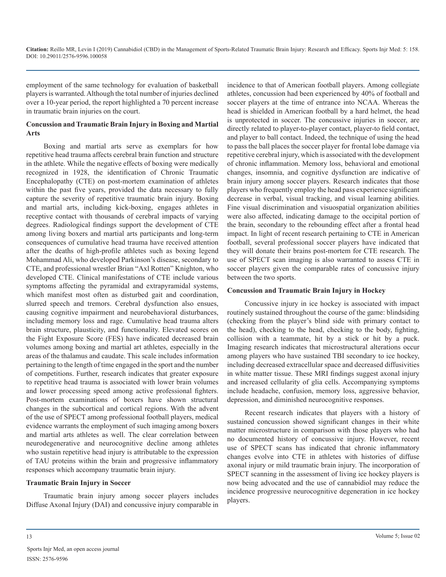employment of the same technology for evaluation of basketball players is warranted. Although the total number of injuries declined over a 10-year period, the report highlighted a 70 percent increase in traumatic brain injuries on the court.

#### **Concussion and Traumatic Brain Injury in Boxing and Martial Arts**

Boxing and martial arts serve as exemplars for how repetitive head trauma affects cerebral brain function and structure in the athlete. While the negative effects of boxing were medically recognized in 1928, the identification of Chronic Traumatic Encephalopathy (CTE) on post-mortem examination of athletes within the past five years, provided the data necessary to fully capture the severity of repetitive traumatic brain injury. Boxing and martial arts, including kick-boxing, engages athletes in receptive contact with thousands of cerebral impacts of varying degrees. Radiological findings support the development of CTE among living boxers and martial arts participants and long-term consequences of cumulative head trauma have received attention after the deaths of high-profile athletes such as boxing legend Mohammad Ali, who developed Parkinson's disease, secondary to CTE, and professional wrestler Brian "Axl Rotten" Knighton, who developed CTE. Clinical manifestations of CTE include various symptoms affecting the pyramidal and extrapyramidal systems, which manifest most often as disturbed gait and coordination, slurred speech and tremors. Cerebral dysfunction also ensues, causing cognitive impairment and neurobehavioral disturbances, including memory loss and rage. Cumulative head trauma alters brain structure, plausticity, and functionality. Elevated scores on the Fight Exposure Score (FES) have indicated decreased brain volumes among boxing and martial art athletes, especially in the areas of the thalamus and caudate. This scale includes information pertaining to the length of time engaged in the sport and the number of competitions. Further, research indicates that greater exposure to repetitive head trauma is associated with lower brain volumes and lower processing speed among active professional fighters. Post-mortem examinations of boxers have shown structural changes in the subcortical and cortical regions. With the advent of the use of SPECT among professional football players, medical evidence warrants the employment of such imaging among boxers and martial arts athletes as well. The clear correlation between neurodegenerative and neurocognitive decline among athletes who sustain repetitive head injury is attributable to the expression of TAU proteins within the brain and progressive inflammatory responses which accompany traumatic brain injury.

#### **Traumatic Brain Injury in Soccer**

Traumatic brain injury among soccer players includes Diffuse Axonal Injury (DAI) and concussive injury comparable in

incidence to that of American football players. Among collegiate athletes, concussion had been experienced by 40% of football and soccer players at the time of entrance into NCAA. Whereas the head is shielded in American football by a hard helmet, the head is unprotected in soccer. The concussive injuries in soccer, are directly related to player-to-player contact, player-to field contact, and player to ball contact. Indeed, the technique of using the head to pass the ball places the soccer player for frontal lobe damage via repetitive cerebral injury, which is associated with the development of chronic inflammation. Memory loss, behavioral and emotional changes, insomnia, and cognitive dysfunction are indicative of brain injury among soccer players. Research indicates that those players who frequently employ the head pass experience significant decrease in verbal, visual tracking, and visual learning abilities. Fine visual discrimination and visuospatial organization abilities were also affected, indicating damage to the occipital portion of the brain, secondary to the rebounding effect after a frontal head impact. In light of recent research pertaining to CTE in American football, several professional soccer players have indicated that they will donate their brains post-mortem for CTE research. The use of SPECT scan imaging is also warranted to assess CTE in soccer players given the comparable rates of concussive injury between the two sports.

#### **Concussion and Traumatic Brain Injury in Hockey**

Concussive injury in ice hockey is associated with impact routinely sustained throughout the course of the game: blindsiding (checking from the player's blind side with primary contact to the head), checking to the head, checking to the body, fighting, collision with a teammate, hit by a stick or hit by a puck. Imaging research indicates that microstructural alterations occur among players who have sustained TBI secondary to ice hockey, including decreased extracellular space and decreased diffusivities in white matter tissue. These MRI findings suggest axonal injury and increased cellularity of glia cells. Accompanying symptoms include headache, confusion, memory loss, aggressive behavior, depression, and diminished neurocognitive responses.

Recent research indicates that players with a history of sustained concussion showed significant changes in their white matter microstructure in comparison with those players who had no documented history of concussive injury. However, recent use of SPECT scans has indicated that chronic inflammatory changes evolve into CTE in athletes with histories of diffuse axonal injury or mild traumatic brain injury. The incorporation of SPECT scanning in the assessment of living ice hockey players is now being advocated and the use of cannabidiol may reduce the incidence progressive neurocognitive degeneration in ice hockey players.